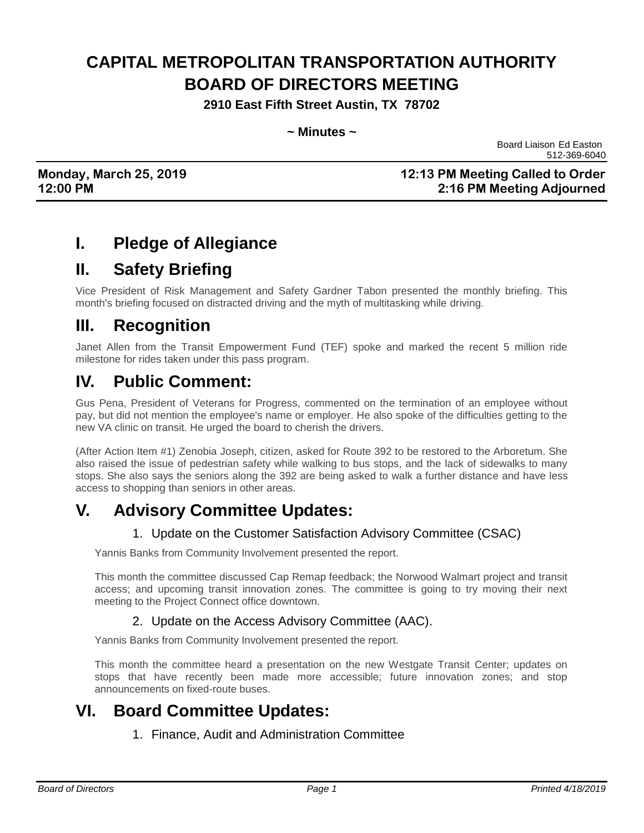# **CAPITAL METROPOLITAN TRANSPORTATION AUTHORITY BOARD OF DIRECTORS MEETING**

**2910 East Fifth Street Austin, TX 78702**

#### **~ Minutes ~**

 Board Liaison Ed Easton 512-369-6040

#### **Monday, March 25, 2019 12:13 PM Meeting Called to Order 12:00 PM 2:16 PM Meeting Adjourned**

# **I. Pledge of Allegiance**

### **II. Safety Briefing**

Vice President of Risk Management and Safety Gardner Tabon presented the monthly briefing. This month's briefing focused on distracted driving and the myth of multitasking while driving.

### **III. Recognition**

Janet Allen from the Transit Empowerment Fund (TEF) spoke and marked the recent 5 million ride milestone for rides taken under this pass program.

### **IV. Public Comment:**

Gus Pena, President of Veterans for Progress, commented on the termination of an employee without pay, but did not mention the employee's name or employer. He also spoke of the difficulties getting to the new VA clinic on transit. He urged the board to cherish the drivers.

(After Action Item #1) Zenobia Joseph, citizen, asked for Route 392 to be restored to the Arboretum. She also raised the issue of pedestrian safety while walking to bus stops, and the lack of sidewalks to many stops. She also says the seniors along the 392 are being asked to walk a further distance and have less access to shopping than seniors in other areas.

# **V. Advisory Committee Updates:**

#### 1. Update on the Customer Satisfaction Advisory Committee (CSAC)

Yannis Banks from Community Involvement presented the report.

This month the committee discussed Cap Remap feedback; the Norwood Walmart project and transit access; and upcoming transit innovation zones. The committee is going to try moving their next meeting to the Project Connect office downtown.

#### 2. Update on the Access Advisory Committee (AAC).

Yannis Banks from Community Involvement presented the report.

This month the committee heard a presentation on the new Westgate Transit Center; updates on stops that have recently been made more accessible; future innovation zones; and stop announcements on fixed-route buses.

# **VI. Board Committee Updates:**

1. Finance, Audit and Administration Committee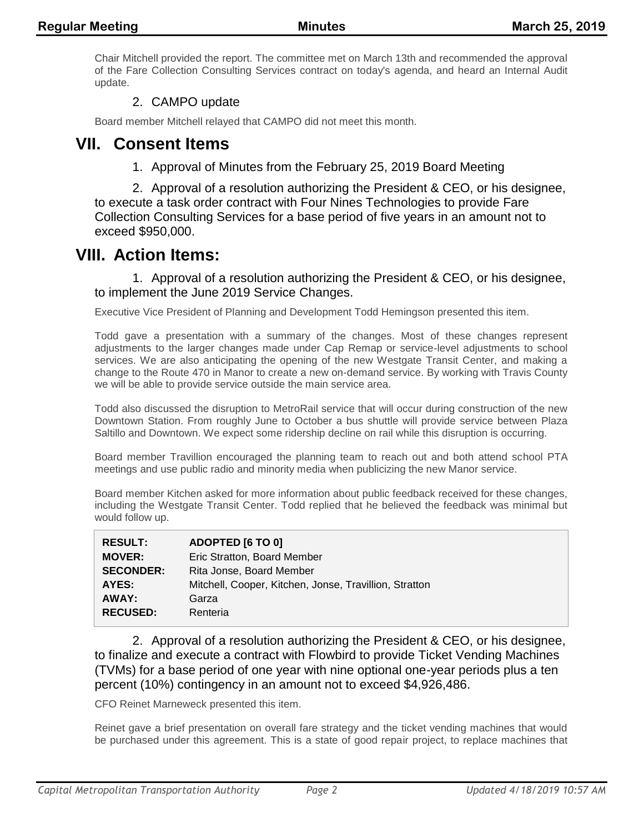Chair Mitchell provided the report. The committee met on March 13th and recommended the approval of the Fare Collection Consulting Services contract on today's agenda, and heard an Internal Audit update.

#### 2. CAMPO update

Board member Mitchell relayed that CAMPO did not meet this month.

#### **VII. Consent Items**

1. Approval of Minutes from the February 25, 2019 Board Meeting

2. Approval of a resolution authorizing the President & CEO, or his designee, to execute a task order contract with Four Nines Technologies to provide Fare Collection Consulting Services for a base period of five years in an amount not to exceed \$950,000.

#### **VIII. Action Items:**

1. Approval of a resolution authorizing the President & CEO, or his designee, to implement the June 2019 Service Changes.

Executive Vice President of Planning and Development Todd Hemingson presented this item.

Todd gave a presentation with a summary of the changes. Most of these changes represent adjustments to the larger changes made under Cap Remap or service-level adjustments to school services. We are also anticipating the opening of the new Westgate Transit Center, and making a change to the Route 470 in Manor to create a new on-demand service. By working with Travis County we will be able to provide service outside the main service area.

Todd also discussed the disruption to MetroRail service that will occur during construction of the new Downtown Station. From roughly June to October a bus shuttle will provide service between Plaza Saltillo and Downtown. We expect some ridership decline on rail while this disruption is occurring.

Board member Travillion encouraged the planning team to reach out and both attend school PTA meetings and use public radio and minority media when publicizing the new Manor service.

Board member Kitchen asked for more information about public feedback received for these changes, including the Westgate Transit Center. Todd replied that he believed the feedback was minimal but would follow up.

| <b>RESULT:</b>   | ADOPTED [6 TO 0]                                       |
|------------------|--------------------------------------------------------|
| <b>MOVER:</b>    | Eric Stratton, Board Member                            |
| <b>SECONDER:</b> | Rita Jonse, Board Member                               |
| AYES:            | Mitchell, Cooper, Kitchen, Jonse, Travillion, Stratton |
| AWAY:            | Garza                                                  |
| <b>RECUSED:</b>  | Renteria                                               |

2. Approval of a resolution authorizing the President & CEO, or his designee, to finalize and execute a contract with Flowbird to provide Ticket Vending Machines (TVMs) for a base period of one year with nine optional one-year periods plus a ten percent (10%) contingency in an amount not to exceed \$4,926,486.

CFO Reinet Marneweck presented this item.

Reinet gave a brief presentation on overall fare strategy and the ticket vending machines that would be purchased under this agreement. This is a state of good repair project, to replace machines that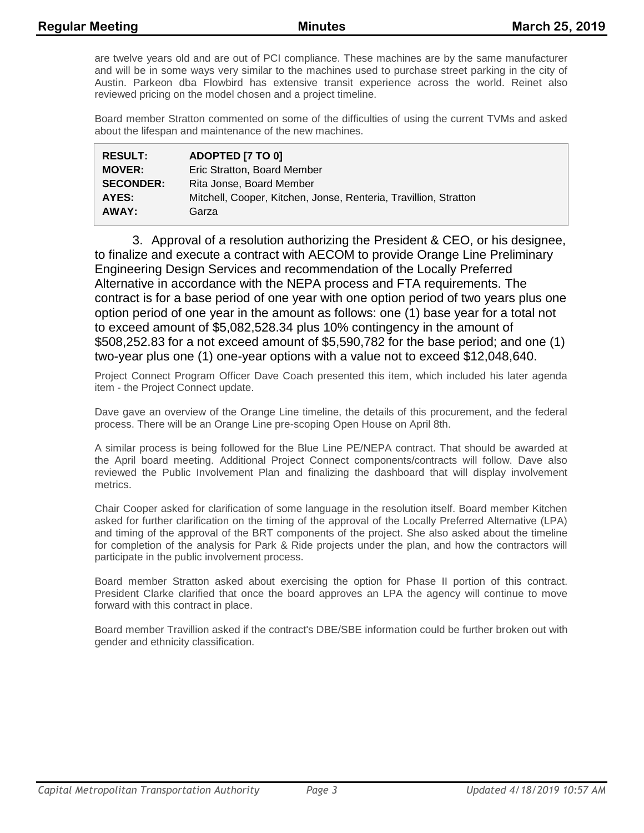are twelve years old and are out of PCI compliance. These machines are by the same manufacturer and will be in some ways very similar to the machines used to purchase street parking in the city of Austin. Parkeon dba Flowbird has extensive transit experience across the world. Reinet also reviewed pricing on the model chosen and a project timeline.

Board member Stratton commented on some of the difficulties of using the current TVMs and asked about the lifespan and maintenance of the new machines.

| <b>RESULT:</b>   | ADOPTED [7 TO 0]                                                 |
|------------------|------------------------------------------------------------------|
| <b>MOVER:</b>    | Eric Stratton, Board Member                                      |
| <b>SECONDER:</b> | Rita Jonse, Board Member                                         |
| AYES:            | Mitchell, Cooper, Kitchen, Jonse, Renteria, Travillion, Stratton |
| AWAY:            | Garza                                                            |

3. Approval of a resolution authorizing the President & CEO, or his designee, to finalize and execute a contract with AECOM to provide Orange Line Preliminary Engineering Design Services and recommendation of the Locally Preferred Alternative in accordance with the NEPA process and FTA requirements. The contract is for a base period of one year with one option period of two years plus one option period of one year in the amount as follows: one (1) base year for a total not to exceed amount of \$5,082,528.34 plus 10% contingency in the amount of \$508,252.83 for a not exceed amount of \$5,590,782 for the base period; and one (1) two-year plus one (1) one-year options with a value not to exceed \$12,048,640.

Project Connect Program Officer Dave Coach presented this item, which included his later agenda item - the Project Connect update.

Dave gave an overview of the Orange Line timeline, the details of this procurement, and the federal process. There will be an Orange Line pre-scoping Open House on April 8th.

A similar process is being followed for the Blue Line PE/NEPA contract. That should be awarded at the April board meeting. Additional Project Connect components/contracts will follow. Dave also reviewed the Public Involvement Plan and finalizing the dashboard that will display involvement metrics.

Chair Cooper asked for clarification of some language in the resolution itself. Board member Kitchen asked for further clarification on the timing of the approval of the Locally Preferred Alternative (LPA) and timing of the approval of the BRT components of the project. She also asked about the timeline for completion of the analysis for Park & Ride projects under the plan, and how the contractors will participate in the public involvement process.

Board member Stratton asked about exercising the option for Phase II portion of this contract. President Clarke clarified that once the board approves an LPA the agency will continue to move forward with this contract in place.

Board member Travillion asked if the contract's DBE/SBE information could be further broken out with gender and ethnicity classification.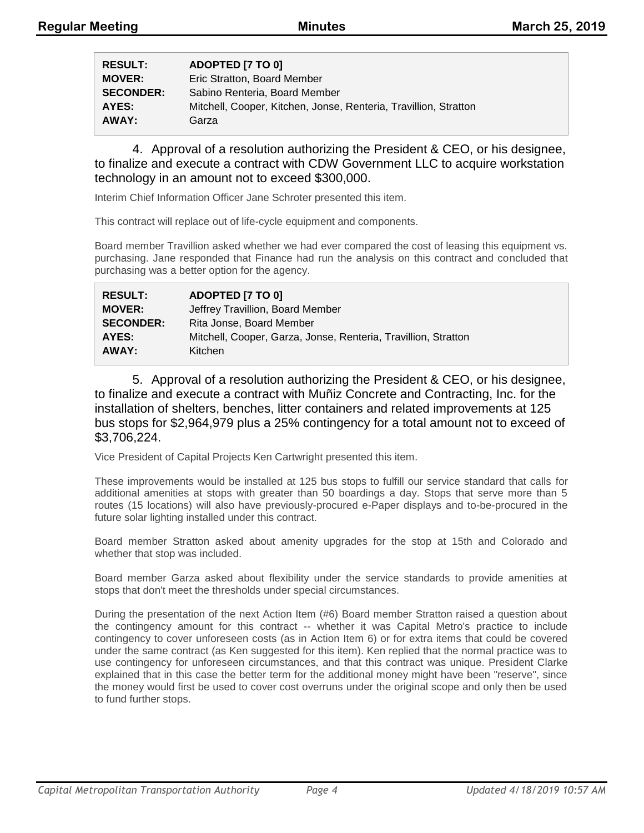| <b>RESULT:</b>   | ADOPTED [7 TO 0]                                                 |
|------------------|------------------------------------------------------------------|
| <b>MOVER:</b>    | Eric Stratton, Board Member                                      |
| <b>SECONDER:</b> | Sabino Renteria, Board Member                                    |
| AYES:            | Mitchell, Cooper, Kitchen, Jonse, Renteria, Travillion, Stratton |
| AWAY:            | Garza                                                            |

4. Approval of a resolution authorizing the President & CEO, or his designee, to finalize and execute a contract with CDW Government LLC to acquire workstation technology in an amount not to exceed \$300,000.

Interim Chief Information Officer Jane Schroter presented this item.

This contract will replace out of life-cycle equipment and components.

Board member Travillion asked whether we had ever compared the cost of leasing this equipment vs. purchasing. Jane responded that Finance had run the analysis on this contract and concluded that purchasing was a better option for the agency.

| <b>RESULT:</b>   | ADOPTED [7 TO 0]                                               |
|------------------|----------------------------------------------------------------|
| <b>MOVER:</b>    | Jeffrey Travillion, Board Member                               |
| <b>SECONDER:</b> | Rita Jonse, Board Member                                       |
| AYES:            | Mitchell, Cooper, Garza, Jonse, Renteria, Travillion, Stratton |
| AWAY:            | Kitchen                                                        |

5. Approval of a resolution authorizing the President & CEO, or his designee, to finalize and execute a contract with Muñiz Concrete and Contracting, Inc. for the installation of shelters, benches, litter containers and related improvements at 125 bus stops for \$2,964,979 plus a 25% contingency for a total amount not to exceed of \$3,706,224.

Vice President of Capital Projects Ken Cartwright presented this item.

These improvements would be installed at 125 bus stops to fulfill our service standard that calls for additional amenities at stops with greater than 50 boardings a day. Stops that serve more than 5 routes (15 locations) will also have previously-procured e-Paper displays and to-be-procured in the future solar lighting installed under this contract.

Board member Stratton asked about amenity upgrades for the stop at 15th and Colorado and whether that stop was included.

Board member Garza asked about flexibility under the service standards to provide amenities at stops that don't meet the thresholds under special circumstances.

During the presentation of the next Action Item (#6) Board member Stratton raised a question about the contingency amount for this contract -- whether it was Capital Metro's practice to include contingency to cover unforeseen costs (as in Action Item 6) or for extra items that could be covered under the same contract (as Ken suggested for this item). Ken replied that the normal practice was to use contingency for unforeseen circumstances, and that this contract was unique. President Clarke explained that in this case the better term for the additional money might have been "reserve", since the money would first be used to cover cost overruns under the original scope and only then be used to fund further stops.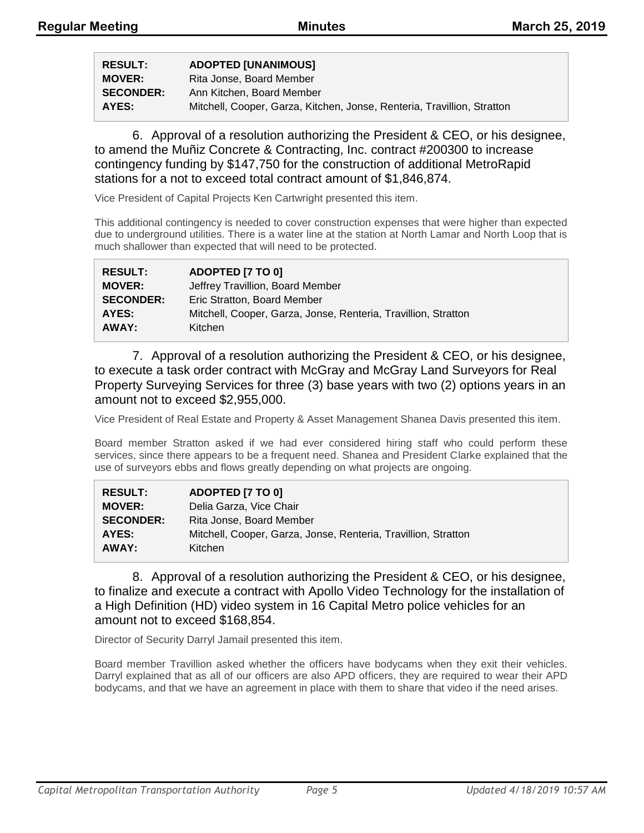| <b>RESULT:</b>   | <b>ADOPTED [UNANIMOUS]</b>                                              |
|------------------|-------------------------------------------------------------------------|
| <b>MOVER:</b>    | Rita Jonse, Board Member                                                |
| <b>SECONDER:</b> | Ann Kitchen, Board Member                                               |
| AYES:            | Mitchell, Cooper, Garza, Kitchen, Jonse, Renteria, Travillion, Stratton |

6. Approval of a resolution authorizing the President & CEO, or his designee, to amend the Muñiz Concrete & Contracting, Inc. contract #200300 to increase contingency funding by \$147,750 for the construction of additional MetroRapid stations for a not to exceed total contract amount of \$1,846,874.

Vice President of Capital Projects Ken Cartwright presented this item.

This additional contingency is needed to cover construction expenses that were higher than expected due to underground utilities. There is a water line at the station at North Lamar and North Loop that is much shallower than expected that will need to be protected.

| <b>RESULT:</b>   | ADOPTED [7 TO 0]                                               |
|------------------|----------------------------------------------------------------|
| <b>MOVER:</b>    | Jeffrey Travillion, Board Member                               |
| <b>SECONDER:</b> | Eric Stratton, Board Member                                    |
| AYES:            | Mitchell, Cooper, Garza, Jonse, Renteria, Travillion, Stratton |
| AWAY:            | Kitchen                                                        |

7. Approval of a resolution authorizing the President & CEO, or his designee, to execute a task order contract with McGray and McGray Land Surveyors for Real Property Surveying Services for three (3) base years with two (2) options years in an amount not to exceed \$2,955,000.

Vice President of Real Estate and Property & Asset Management Shanea Davis presented this item.

Board member Stratton asked if we had ever considered hiring staff who could perform these services, since there appears to be a frequent need. Shanea and President Clarke explained that the use of surveyors ebbs and flows greatly depending on what projects are ongoing.

| <b>RESULT:</b>   | ADOPTED [7 TO 0]                                               |
|------------------|----------------------------------------------------------------|
| <b>MOVER:</b>    | Delia Garza, Vice Chair                                        |
| <b>SECONDER:</b> | Rita Jonse, Board Member                                       |
| AYES:            | Mitchell, Cooper, Garza, Jonse, Renteria, Travillion, Stratton |
| AWAY:            | Kitchen                                                        |
|                  |                                                                |

8. Approval of a resolution authorizing the President & CEO, or his designee, to finalize and execute a contract with Apollo Video Technology for the installation of a High Definition (HD) video system in 16 Capital Metro police vehicles for an amount not to exceed \$168,854.

Director of Security Darryl Jamail presented this item.

Board member Travillion asked whether the officers have bodycams when they exit their vehicles. Darryl explained that as all of our officers are also APD officers, they are required to wear their APD bodycams, and that we have an agreement in place with them to share that video if the need arises.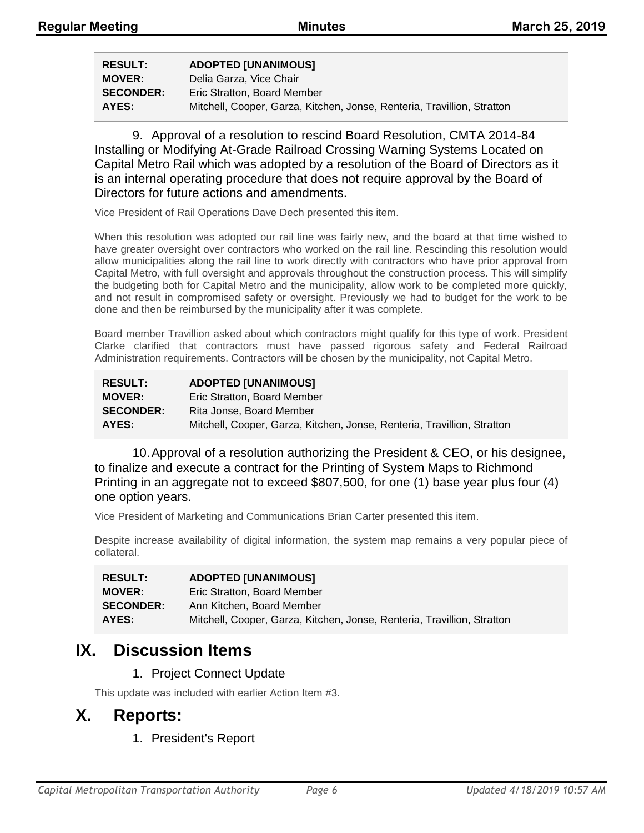| <b>RESULT:</b>   | <b>ADOPTED [UNANIMOUS]</b>                                              |
|------------------|-------------------------------------------------------------------------|
| <b>MOVER:</b>    | Delia Garza, Vice Chair                                                 |
| <b>SECONDER:</b> | Eric Stratton, Board Member                                             |
| AYES:            | Mitchell, Cooper, Garza, Kitchen, Jonse, Renteria, Travillion, Stratton |

9. Approval of a resolution to rescind Board Resolution, CMTA 2014-84 Installing or Modifying At-Grade Railroad Crossing Warning Systems Located on Capital Metro Rail which was adopted by a resolution of the Board of Directors as it is an internal operating procedure that does not require approval by the Board of Directors for future actions and amendments.

Vice President of Rail Operations Dave Dech presented this item.

When this resolution was adopted our rail line was fairly new, and the board at that time wished to have greater oversight over contractors who worked on the rail line. Rescinding this resolution would allow municipalities along the rail line to work directly with contractors who have prior approval from Capital Metro, with full oversight and approvals throughout the construction process. This will simplify the budgeting both for Capital Metro and the municipality, allow work to be completed more quickly, and not result in compromised safety or oversight. Previously we had to budget for the work to be done and then be reimbursed by the municipality after it was complete.

Board member Travillion asked about which contractors might qualify for this type of work. President Clarke clarified that contractors must have passed rigorous safety and Federal Railroad Administration requirements. Contractors will be chosen by the municipality, not Capital Metro.

| <b>RESULT:</b>   | <b>ADOPTED [UNANIMOUS]</b>                                              |
|------------------|-------------------------------------------------------------------------|
| <b>MOVER:</b>    | Eric Stratton, Board Member                                             |
| <b>SECONDER:</b> | Rita Jonse, Board Member                                                |
| AYES:            | Mitchell, Cooper, Garza, Kitchen, Jonse, Renteria, Travillion, Stratton |

10.Approval of a resolution authorizing the President & CEO, or his designee, to finalize and execute a contract for the Printing of System Maps to Richmond Printing in an aggregate not to exceed \$807,500, for one (1) base year plus four (4) one option years.

Vice President of Marketing and Communications Brian Carter presented this item.

Despite increase availability of digital information, the system map remains a very popular piece of collateral.

| <b>RESULT:</b>   | <b>ADOPTED [UNANIMOUS]</b>                                              |
|------------------|-------------------------------------------------------------------------|
| <b>MOVER:</b>    | Eric Stratton, Board Member                                             |
| <b>SECONDER:</b> | Ann Kitchen, Board Member                                               |
| AYES:            | Mitchell, Cooper, Garza, Kitchen, Jonse, Renteria, Travillion, Stratton |

### **IX. Discussion Items**

#### 1. Project Connect Update

This update was included with earlier Action Item #3.

### **X. Reports:**

1. President's Report